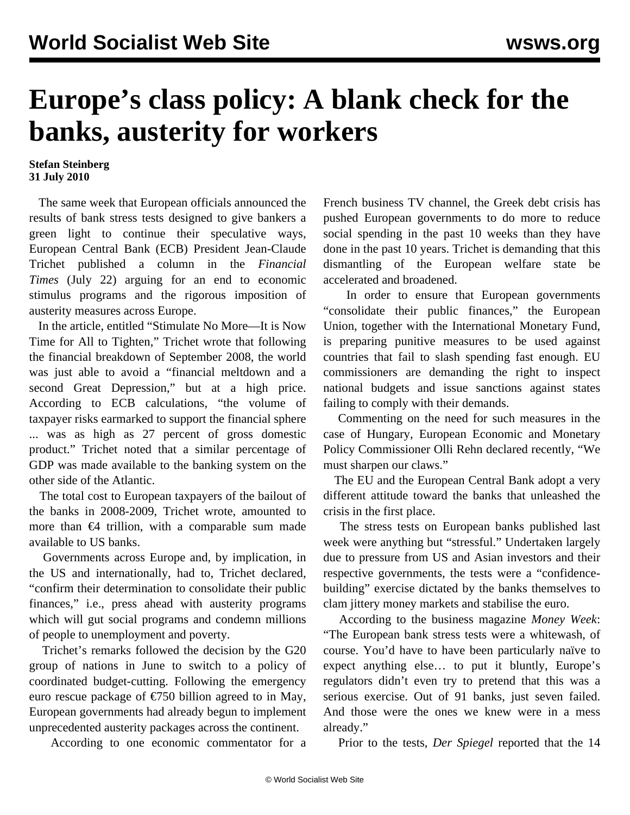## **Europe's class policy: A blank check for the banks, austerity for workers**

## **Stefan Steinberg 31 July 2010**

 The same week that European officials announced the results of bank stress tests designed to give bankers a green light to continue their speculative ways, European Central Bank (ECB) President Jean-Claude Trichet published a column in the *Financial Times* (July 22) arguing for an end to economic stimulus programs and the rigorous imposition of austerity measures across Europe.

 In the article, entitled "Stimulate No More—It is Now Time for All to Tighten," Trichet wrote that following the financial breakdown of September 2008, the world was just able to avoid a "financial meltdown and a second Great Depression," but at a high price. According to ECB calculations, "the volume of taxpayer risks earmarked to support the financial sphere ... was as high as 27 percent of gross domestic product." Trichet noted that a similar percentage of GDP was made available to the banking system on the other side of the Atlantic.

 The total cost to European taxpayers of the bailout of the banks in 2008-2009, Trichet wrote, amounted to more than  $\epsilon$ 4 trillion, with a comparable sum made available to US banks.

 Governments across Europe and, by implication, in the US and internationally, had to, Trichet declared, "confirm their determination to consolidate their public finances," i.e., press ahead with austerity programs which will gut social programs and condemn millions of people to unemployment and poverty.

 Trichet's remarks followed the decision by the G20 group of nations in June to switch to a policy of coordinated budget-cutting. Following the emergency euro rescue package of  $\epsilon$ 750 billion agreed to in May, European governments had already begun to implement unprecedented austerity packages across the continent.

According to one economic commentator for a

French business TV channel, the Greek debt crisis has pushed European governments to do more to reduce social spending in the past 10 weeks than they have done in the past 10 years. Trichet is demanding that this dismantling of the European welfare state be accelerated and broadened.

 In order to ensure that European governments "consolidate their public finances," the European Union, together with the International Monetary Fund, is preparing punitive measures to be used against countries that fail to slash spending fast enough. EU commissioners are demanding the right to inspect national budgets and issue sanctions against states failing to comply with their demands.

 Commenting on the need for such measures in the case of Hungary, European Economic and Monetary Policy Commissioner Olli Rehn declared recently, "We must sharpen our claws."

 The EU and the European Central Bank adopt a very different attitude toward the banks that unleashed the crisis in the first place.

 The stress tests on European banks published last week were anything but "stressful." Undertaken largely due to pressure from US and Asian investors and their respective governments, the tests were a "confidencebuilding" exercise dictated by the banks themselves to clam jittery money markets and stabilise the euro.

 According to the business magazine *Money Week*: "The European bank stress tests were a whitewash, of course. You'd have to have been particularly naïve to expect anything else… to put it bluntly, Europe's regulators didn't even try to pretend that this was a serious exercise. Out of 91 banks, just seven failed. And those were the ones we knew were in a mess already."

Prior to the tests, *Der Spiegel* reported that the 14